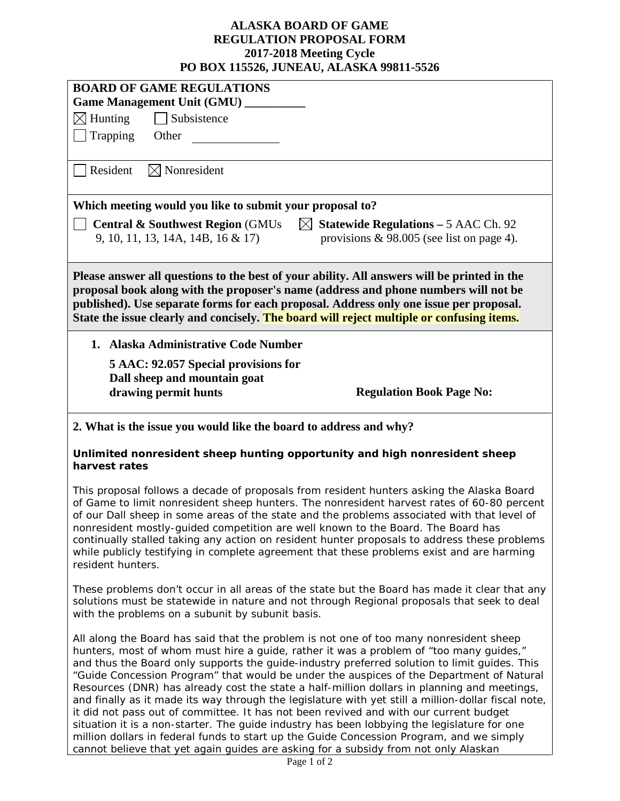## **ALASKA BOARD OF GAME REGULATION PROPOSAL FORM 2017-2018 Meeting Cycle PO BOX 115526, JUNEAU, ALASKA 99811-5526**

|                                                                                                                                                                                                                                                                                                                                                                                                                                                                                                                                                                                                                                                                                                                                                                                                                                                                                                                                                               | I U DUA 113320, JUNEAU, ALASKA 77011-3320                                                   |  |
|---------------------------------------------------------------------------------------------------------------------------------------------------------------------------------------------------------------------------------------------------------------------------------------------------------------------------------------------------------------------------------------------------------------------------------------------------------------------------------------------------------------------------------------------------------------------------------------------------------------------------------------------------------------------------------------------------------------------------------------------------------------------------------------------------------------------------------------------------------------------------------------------------------------------------------------------------------------|---------------------------------------------------------------------------------------------|--|
| <b>BOARD OF GAME REGULATIONS</b>                                                                                                                                                                                                                                                                                                                                                                                                                                                                                                                                                                                                                                                                                                                                                                                                                                                                                                                              |                                                                                             |  |
| Game Management Unit (GMU) _____                                                                                                                                                                                                                                                                                                                                                                                                                                                                                                                                                                                                                                                                                                                                                                                                                                                                                                                              |                                                                                             |  |
| Subsistence<br>$\boxtimes$ Hunting                                                                                                                                                                                                                                                                                                                                                                                                                                                                                                                                                                                                                                                                                                                                                                                                                                                                                                                            |                                                                                             |  |
| Trapping<br>Other                                                                                                                                                                                                                                                                                                                                                                                                                                                                                                                                                                                                                                                                                                                                                                                                                                                                                                                                             |                                                                                             |  |
| $\boxtimes$ Nonresident<br>Resident                                                                                                                                                                                                                                                                                                                                                                                                                                                                                                                                                                                                                                                                                                                                                                                                                                                                                                                           |                                                                                             |  |
| Which meeting would you like to submit your proposal to?                                                                                                                                                                                                                                                                                                                                                                                                                                                                                                                                                                                                                                                                                                                                                                                                                                                                                                      |                                                                                             |  |
| <b>Central &amp; Southwest Region (GMUs)</b><br>$\boxtimes$<br>9, 10, 11, 13, 14A, 14B, 16 & 17                                                                                                                                                                                                                                                                                                                                                                                                                                                                                                                                                                                                                                                                                                                                                                                                                                                               | <b>Statewide Regulations – 5 AAC Ch. 92</b><br>provisions $\&$ 98.005 (see list on page 4). |  |
| Please answer all questions to the best of your ability. All answers will be printed in the<br>proposal book along with the proposer's name (address and phone numbers will not be<br>published). Use separate forms for each proposal. Address only one issue per proposal.<br>State the issue clearly and concisely. The board will reject multiple or confusing items.                                                                                                                                                                                                                                                                                                                                                                                                                                                                                                                                                                                     |                                                                                             |  |
| 1. Alaska Administrative Code Number                                                                                                                                                                                                                                                                                                                                                                                                                                                                                                                                                                                                                                                                                                                                                                                                                                                                                                                          |                                                                                             |  |
| 5 AAC: 92.057 Special provisions for<br>Dall sheep and mountain goat<br>drawing permit hunts                                                                                                                                                                                                                                                                                                                                                                                                                                                                                                                                                                                                                                                                                                                                                                                                                                                                  | <b>Regulation Book Page No:</b>                                                             |  |
| 2. What is the issue you would like the board to address and why?                                                                                                                                                                                                                                                                                                                                                                                                                                                                                                                                                                                                                                                                                                                                                                                                                                                                                             |                                                                                             |  |
| Unlimited nonresident sheep hunting opportunity and high nonresident sheep<br>harvest rates                                                                                                                                                                                                                                                                                                                                                                                                                                                                                                                                                                                                                                                                                                                                                                                                                                                                   |                                                                                             |  |
| This proposal follows a decade of proposals from resident hunters asking the Alaska Board<br>of Game to limit nonresident sheep hunters. The nonresident harvest rates of 60-80 percent<br>of our Dall sheep in some areas of the state and the problems associated with that level of<br>nonresident mostly-guided competition are well known to the Board. The Board has<br>continually stalled taking any action on resident hunter proposals to address these problems<br>while publicly testifying in complete agreement that these problems exist and are harming<br>resident hunters.                                                                                                                                                                                                                                                                                                                                                                  |                                                                                             |  |
| These problems don't occur in all areas of the state but the Board has made it clear that any<br>solutions must be statewide in nature and not through Regional proposals that seek to deal<br>with the problems on a subunit by subunit basis.                                                                                                                                                                                                                                                                                                                                                                                                                                                                                                                                                                                                                                                                                                               |                                                                                             |  |
| All along the Board has said that the problem is not one of too many nonresident sheep<br>hunters, most of whom must hire a guide, rather it was a problem of "too many guides,"<br>and thus the Board only supports the guide-industry preferred solution to limit guides. This<br>"Guide Concession Program" that would be under the auspices of the Department of Natural<br>Resources (DNR) has already cost the state a half-million dollars in planning and meetings,<br>and finally as it made its way through the legislature with yet still a million-dollar fiscal note,<br>it did not pass out of committee. It has not been revived and with our current budget<br>situation it is a non-starter. The guide industry has been lobbying the legislature for one<br>million dollars in federal funds to start up the Guide Concession Program, and we simply<br>cannot believe that yet again guides are asking for a subsidy from not only Alaskan |                                                                                             |  |